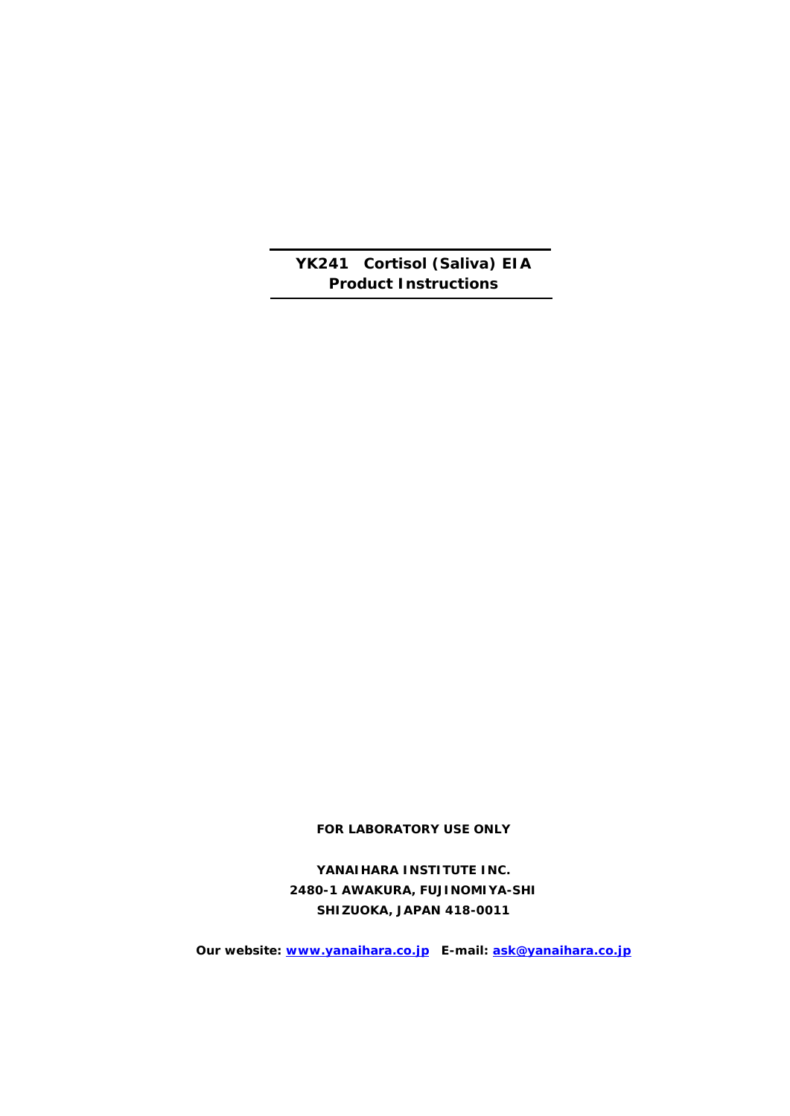**YK241 Cortisol (Saliva) EIA Product Instructions**

**FOR LABORATORY USE ONLY**

**YANAIHARA INSTITUTE INC. 2480-1 AWAKURA, FUJINOMIYA-SHI SHIZUOKA, JAPAN 418-0011**

**Our website: [www.yanaihara.co.jp](http://www.yanaihara.co.jp/) E-mail: [ask@yanaihara.co.jp](mailto:ask@yanaihara.co.jp)**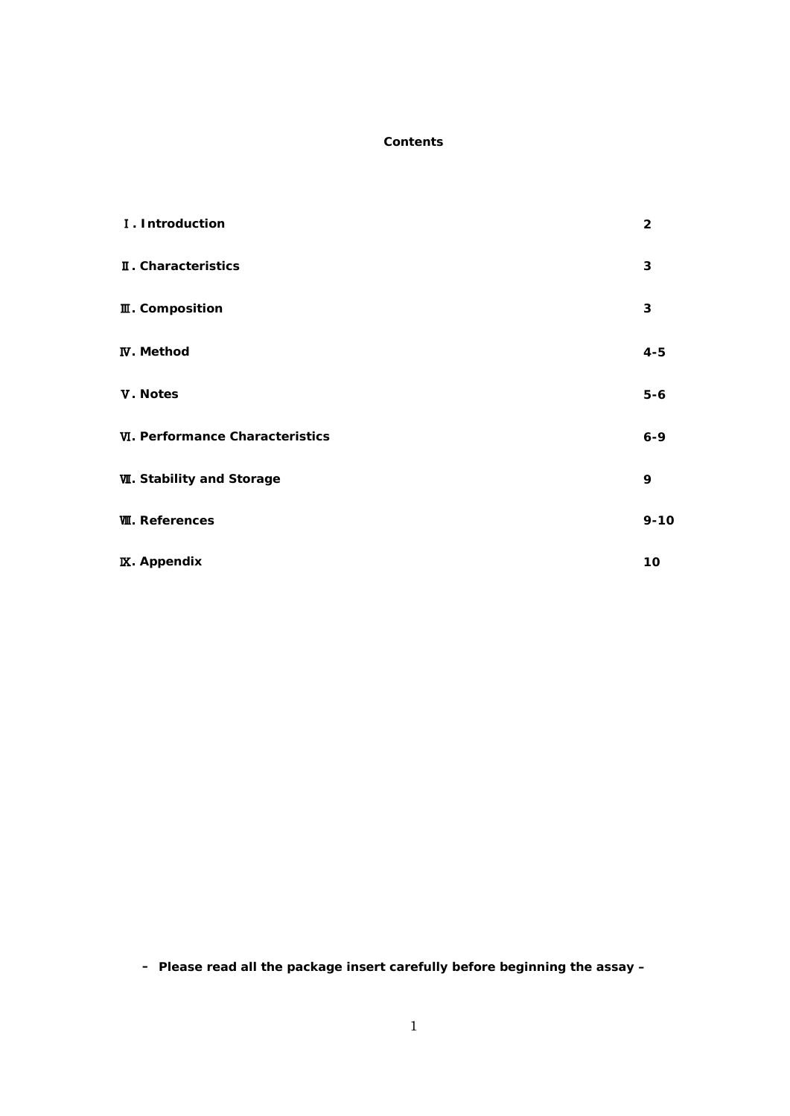# **Contents**

| I. Introduction                        | $\overline{2}$ |
|----------------------------------------|----------------|
| II. Characteristics                    | $\mathbf{3}$   |
| <b>II</b> . Composition                | 3              |
| <b>IV.</b> Method                      | $4 - 5$        |
| V. Notes                               | $5-6$          |
| <b>VI. Performance Characteristics</b> | $6 - 9$        |
| <b>W. Stability and Storage</b>        | 9              |
| <b>W. References</b>                   | $9 - 10$       |
| <b>IX.</b> Appendix                    | 10             |

**– Please read all the package insert carefully before beginning the assay –**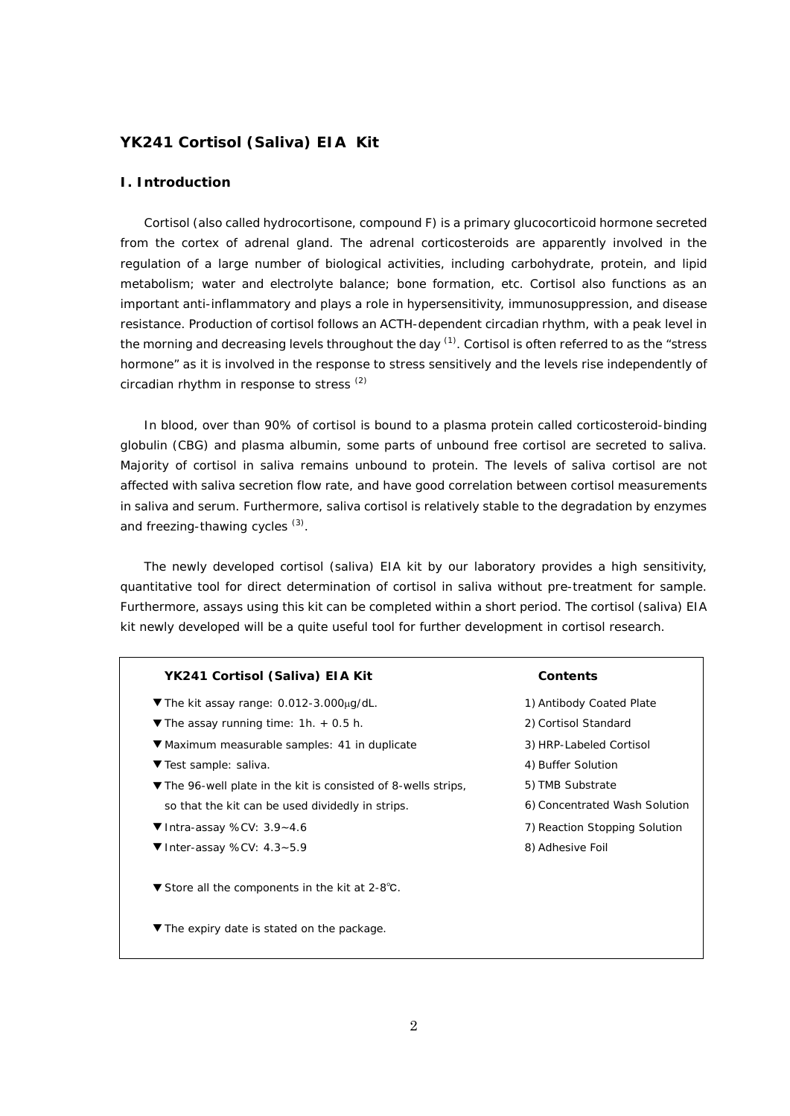# **YK241 Cortisol (Saliva) EIA Kit**

# **I. Introduction**

Cortisol (also called hydrocortisone, compound F) is a primary glucocorticoid hormone secreted from the cortex of adrenal gland. The adrenal corticosteroids are apparently involved in the regulation of a large number of biological activities, including carbohydrate, protein, and lipid metabolism; water and electrolyte balance; bone formation, etc. Cortisol also functions as an important anti-inflammatory and plays a role in hypersensitivity, immunosuppression, and disease resistance. Production of cortisol follows an ACTH-dependent circadian rhythm, with a peak level in the morning and decreasing levels throughout the day  $^{(1)}$ . Cortisol is often referred to as the "stress" hormone" as it is involved in the response to stress sensitively and the levels rise independently of circadian rhythm in response to stress (2)

In blood, over than 90% of cortisol is bound to a plasma protein called corticosteroid-binding globulin (CBG) and plasma albumin, some parts of unbound free cortisol are secreted to saliva. Majority of cortisol in saliva remains unbound to protein. The levels of saliva cortisol are not affected with saliva secretion flow rate, and have good correlation between cortisol measurements in saliva and serum. Furthermore, saliva cortisol is relatively stable to the degradation by enzymes and freezing-thawing cycles <sup>(3)</sup>.

The newly developed cortisol (saliva) EIA kit by our laboratory provides a high sensitivity, quantitative tool for direct determination of cortisol in saliva without pre-treatment for sample. Furthermore, assays using this kit can be completed within a short period. The cortisol (saliva) EIA kit newly developed will be a quite useful tool for further development in cortisol research.

#### **YK241 Cortisol (Saliva) EIA Kit Contents**

- ▼ The kit assay range: 0.012-3.000µg/dL.
- ▼ The assay running time: 1h. + 0.5 h.
- ▼ Maximum measurable samples: 41 in duplicate
- ▼ Test sample: saliva.
- ▼The 96-well plate in the kit is consisted of 8-wells strips, so that the kit can be used dividedly in strips.
- ▼ Intra-assay %CV: 3.9~4.6
- ▼ Inter-assay %CV: 4.3~5.9
- ▼ Store all the components in the kit at 2-8℃.
- ▼ The expiry date is stated on the package.

1) Antibody Coated Plate 2) Cortisol Standard 3) HRP-Labeled Cortisol 4) Buffer Solution 5) TMB Substrate 6) Concentrated Wash Solution 7) Reaction Stopping Solution 8) Adhesive Foil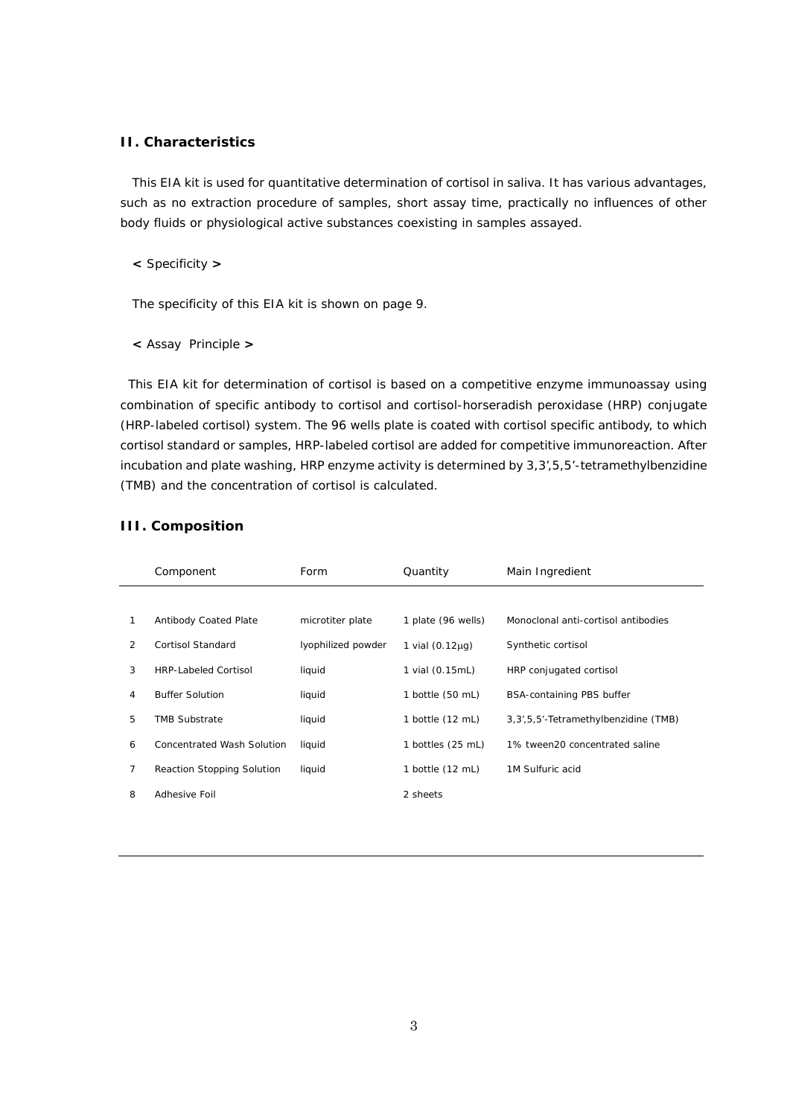# **II. Characteristics**

This EIA kit is used for quantitative determination of cortisol in saliva. It has various advantages, such as no extraction procedure of samples, short assay time, practically no influences of other body fluids or physiological active substances coexisting in samples assayed.

**<** Specificity **>**

The specificity of this EIA kit is shown on page 9.

**<** Assay Principle **>**

This EIA kit for determination of cortisol is based on a competitive enzyme immunoassay using combination of specific antibody to cortisol and cortisol-horseradish peroxidase (HRP) conjugate (HRP-labeled cortisol) system. The 96 wells plate is coated with cortisol specific antibody, to which cortisol standard or samples, HRP-labeled cortisol are added for competitive immunoreaction. After incubation and plate washing, HRP enzyme activity is determined by 3,3',5,5'-tetramethylbenzidine (TMB) and the concentration of cortisol is calculated.

|   | Component                         | Form               | Quantity             | Main Ingredient                         |
|---|-----------------------------------|--------------------|----------------------|-----------------------------------------|
|   |                                   |                    |                      |                                         |
| 1 | <b>Antibody Coated Plate</b>      | microtiter plate   | 1 plate (96 wells)   | Monoclonal anti-cortisol antibodies     |
| 2 | Cortisol Standard                 | lyophilized powder | 1 vial $(0.12\mu q)$ | Synthetic cortisol                      |
| 3 | <b>HRP-Labeled Cortisol</b>       | liquid             | 1 vial (0.15mL)      | HRP conjugated cortisol                 |
| 4 | <b>Buffer Solution</b>            | liquid             | 1 bottle (50 mL)     | <b>BSA-containing PBS buffer</b>        |
| 5 | <b>TMB Substrate</b>              | liquid             | 1 bottle (12 mL)     | 3, 3', 5, 5'-Tetramethylbenzidine (TMB) |
| 6 | Concentrated Wash Solution        | liquid             | 1 bottles (25 mL)    | 1% tween20 concentrated saline          |
| 7 | <b>Reaction Stopping Solution</b> | liquid             | 1 bottle (12 mL)     | 1M Sulfuric acid                        |
| 8 | Adhesive Foil                     |                    | 2 sheets             |                                         |

#### **III. Composition**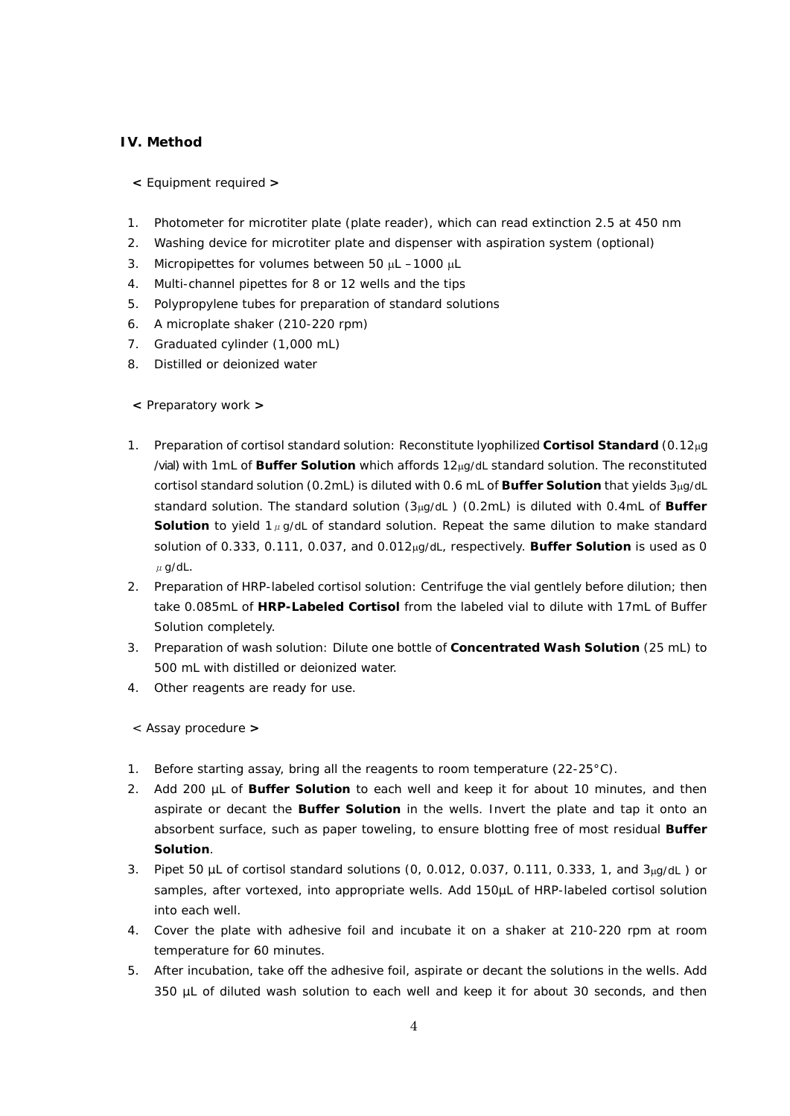# **IV. Method**

- **<** Equipment required **>**
- 1. Photometer for microtiter plate (plate reader), which can read extinction 2.5 at 450 nm
- 2. Washing device for microtiter plate and dispenser with aspiration system (optional)
- 3. Micropipettes for volumes between 50  $\mu$ L –1000  $\mu$ L
- 4. Multi-channel pipettes for 8 or 12 wells and the tips
- 5. Polypropylene tubes for preparation of standard solutions
- 6. A microplate shaker (210-220 rpm)
- 7. Graduated cylinder (1,000 mL)
- 8. Distilled or deionized water
- **<** Preparatory work **>**
- 1. Preparation of cortisol standard solution: Reconstitute lyophilized **Cortisol Standard** (0.12µg /vial) with 1mL of **Buffer Solution** which affords 12µg/dL standard solution. The reconstituted cortisol standard solution (0.2mL) is diluted with 0.6 mL of **Buffer Solution** that yields 3µg/dL standard solution. The standard solution (3µg/dL ) (0.2mL) is diluted with 0.4mL of **Buffer Solution** to yield  $1\mu$ g/dL of standard solution. Repeat the same dilution to make standard solution of 0.333, 0.111, 0.037, and 0.012µg/dL, respectively. **Buffer Solution** is used as 0  $\mu$  g/dL.
- 2. Preparation of HRP-labeled cortisol solution: Centrifuge the vial gentlely before dilution; then take 0.085mL of **HRP-Labeled Cortisol** from the labeled vial to dilute with 17mL of Buffer Solution completely.
- 3. Preparation of wash solution: Dilute one bottle of **Concentrated Wash Solution** (25 mL) to 500 mL with distilled or deionized water.
- 4. Other reagents are ready for use.

< Assay procedure **>**

- 1. Before starting assay, bring all the reagents to room temperature (22-25°C).
- 2. Add 200 µL of **Buffer Solution** to each well and keep it for about 10 minutes, and then aspirate or decant the **Buffer Solution** in the wells. Invert the plate and tap it onto an absorbent surface, such as paper toweling, to ensure blotting free of most residual **Buffer Solution**.
- 3. Pipet 50 µL of cortisol standard solutions (0, 0.012, 0.037, 0.111, 0.333, 1, and 3µg/dL ) or samples, after vortexed, into appropriate wells. Add 150µL of HRP-labeled cortisol solution into each well.
- 4. Cover the plate with adhesive foil and incubate it on a shaker at 210-220 rpm at room temperature for 60 minutes.
- 5. After incubation, take off the adhesive foil, aspirate or decant the solutions in the wells. Add 350 µL of diluted wash solution to each well and keep it for about 30 seconds, and then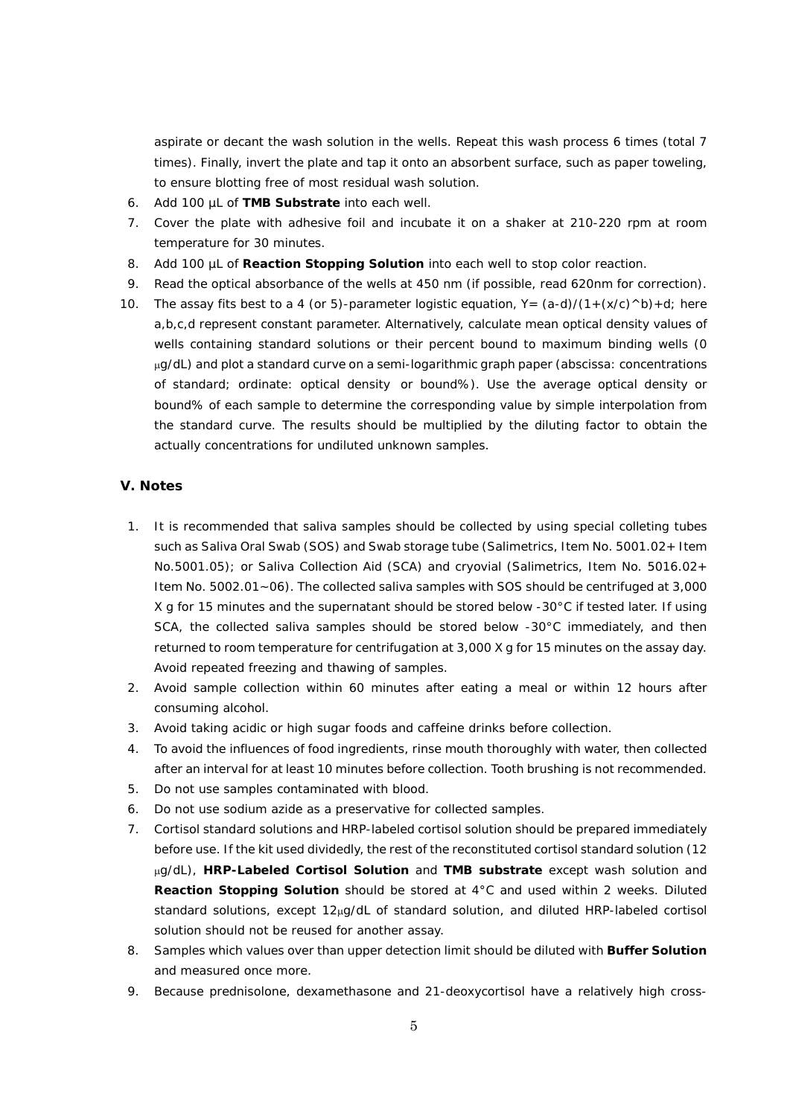aspirate or decant the wash solution in the wells. Repeat this wash process 6 times (total 7 times). Finally, invert the plate and tap it onto an absorbent surface, such as paper toweling, to ensure blotting free of most residual wash solution.

- 6. Add 100 µL of **TMB Substrate** into each well.
- 7. Cover the plate with adhesive foil and incubate it on a shaker at 210-220 rpm at room temperature for 30 minutes.
- 8. Add 100 µL of **Reaction Stopping Solution** into each well to stop color reaction.
- 9. Read the optical absorbance of the wells at 450 nm (if possible, read 620nm for correction).
- 10. The assay fits best to a 4 (or 5)-parameter logistic equation,  $Y = (a-d)/(1+(x/c) \wedge b)+d$ ; here a,b,c,d represent constant parameter. Alternatively, calculate mean optical density values of wells containing standard solutions or their percent bound to maximum binding wells (0 µg/dL) and plot a standard curve on a semi-logarithmic graph paper (abscissa: concentrations of standard; ordinate: optical density or bound%). Use the average optical density or bound% of each sample to determine the corresponding value by simple interpolation from the standard curve. The results should be multiplied by the diluting factor to obtain the actually concentrations for undiluted unknown samples.

# **V. Notes**

- 1. It is recommended that saliva samples should be collected by using special colleting tubes such as Saliva Oral Swab (SOS) and Swab storage tube (Salimetrics, Item No. 5001.02+ Item No.5001.05); or Saliva Collection Aid (SCA) and cryovial (Salimetrics, Item No. 5016.02+ Item No. 5002.01~06). The collected saliva samples with SOS should be centrifuged at 3,000 X g for 15 minutes and the supernatant should be stored below -30°C if tested later. If using SCA, the collected saliva samples should be stored below -30°C immediately, and then returned to room temperature for centrifugation at 3,000 X g for 15 minutes on the assay day. Avoid repeated freezing and thawing of samples.
- 2. Avoid sample collection within 60 minutes after eating a meal or within 12 hours after consuming alcohol.
- 3. Avoid taking acidic or high sugar foods and caffeine drinks before collection.
- 4. To avoid the influences of food ingredients, rinse mouth thoroughly with water, then collected after an interval for at least 10 minutes before collection. Tooth brushing is not recommended.
- 5. Do not use samples contaminated with blood.
- 6. Do not use sodium azide as a preservative for collected samples.
- 7. Cortisol standard solutions and HRP-labeled cortisol solution should be prepared immediately before use. If the kit used dividedly, the rest of the reconstituted cortisol standard solution (12 µg/dL), **HRP-Labeled Cortisol Solution** and **TMB substrate** except wash solution and **Reaction Stopping Solution** should be stored at 4°C and used within 2 weeks. Diluted standard solutions, except 12µg/dL of standard solution, and diluted HRP-labeled cortisol solution should not be reused for another assay.
- 8. Samples which values over than upper detection limit should be diluted with **Buffer Solution** and measured once more.
- 9. Because prednisolone, dexamethasone and 21-deoxycortisol have a relatively high cross-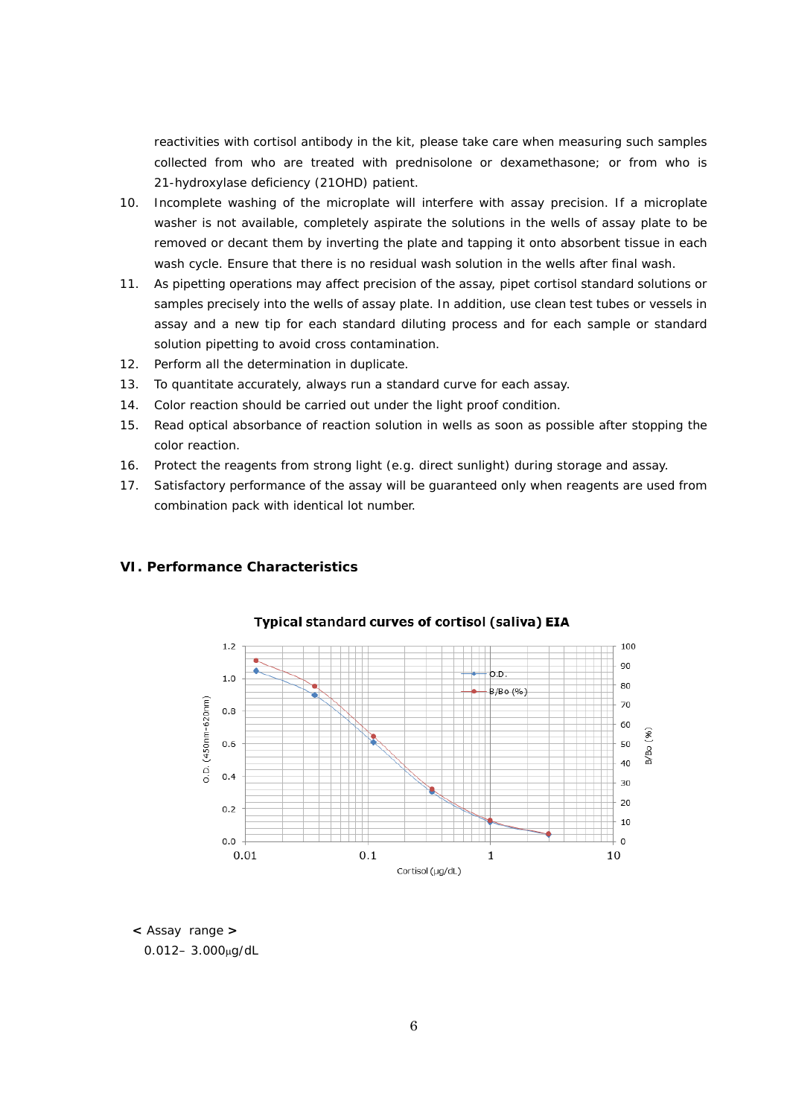reactivities with cortisol antibody in the kit, please take care when measuring such samples collected from who are treated with prednisolone or dexamethasone; or from who is 21-hydroxylase deficiency (21OHD) patient.

- 10. Incomplete washing of the microplate will interfere with assay precision. If a microplate washer is not available, completely aspirate the solutions in the wells of assay plate to be removed or decant them by inverting the plate and tapping it onto absorbent tissue in each wash cycle. Ensure that there is no residual wash solution in the wells after final wash.
- 11. As pipetting operations may affect precision of the assay, pipet cortisol standard solutions or samples precisely into the wells of assay plate. In addition, use clean test tubes or vessels in assay and a new tip for each standard diluting process and for each sample or standard solution pipetting to avoid cross contamination.
- 12. Perform all the determination in duplicate.
- 13. To quantitate accurately, always run a standard curve for each assay.
- 14. Color reaction should be carried out under the light proof condition.
- 15. Read optical absorbance of reaction solution in wells as soon as possible after stopping the color reaction.
- 16. Protect the reagents from strong light (e.g. direct sunlight) during storage and assay.
- 17. Satisfactory performance of the assay will be guaranteed only when reagents are used from combination pack with identical lot number.

#### **VI. Performance Characteristics**



#### Typical standard curves of cortisol (saliva) EIA

**<** Assay range **>** 0.012– 3.000µg/dL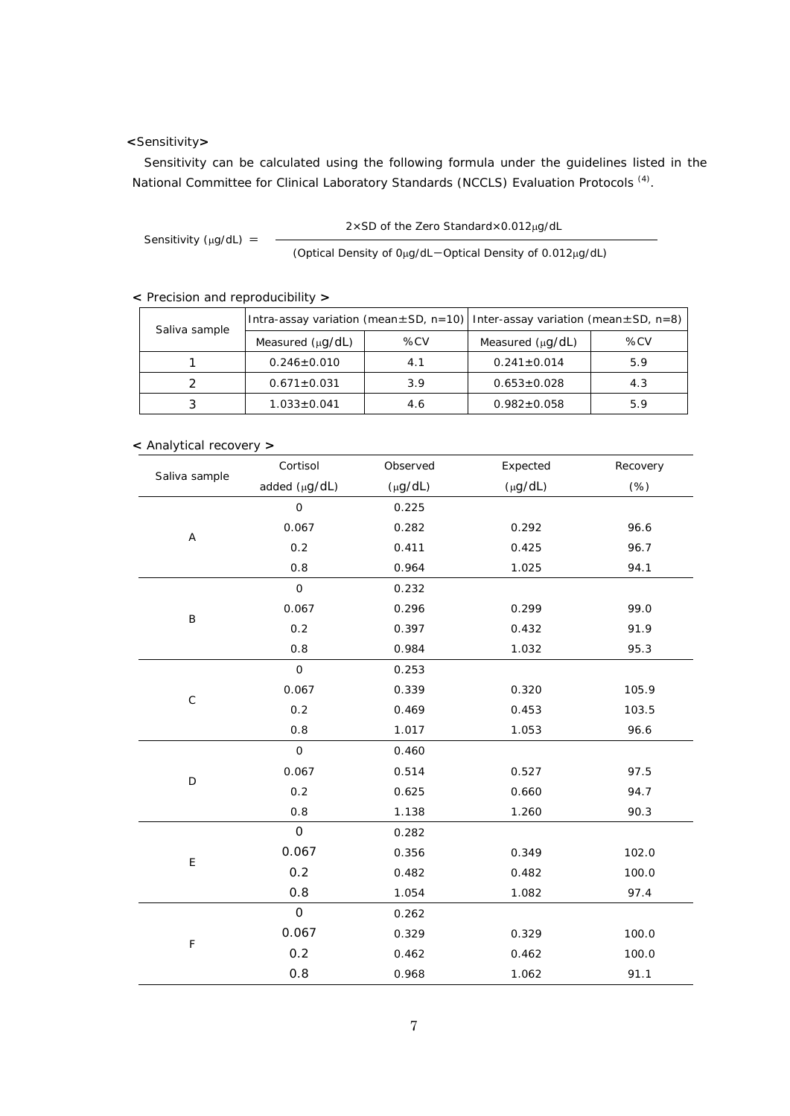# **<**Sensitivity**>**

Sensitivity can be calculated using the following formula under the guidelines listed in the National Committee for Clinical Laboratory Standards (NCCLS) Evaluation Protocols <sup>(4)</sup>.

Sensitivity ( $\mu$ g/dL) = (Optical Density of 0µg/dL-Optical Density of 0.012µg/dL)

**<** Precision and reproducibility **>**

| Saliva sample | Intra-assay variation (mean $\pm$ SD, n=10) Inter-assay variation (mean $\pm$ SD, n=8) |     |                       |     |
|---------------|----------------------------------------------------------------------------------------|-----|-----------------------|-----|
|               | Measured $(\mu q/dL)$                                                                  | %CV | Measured $(\mu q/dL)$ | %CV |
|               | $0.246 \pm 0.010$                                                                      | 4.1 | $0.241 \pm 0.014$     | 5.9 |
|               | $0.671 \pm 0.031$                                                                      | 3.9 | $0.653 \pm 0.028$     | 4.3 |
|               | $1.033 \pm 0.041$                                                                      | 4.6 | $0.982 \pm 0.058$     | 5.9 |

**<sup>&</sup>lt;** Analytical recovery **>**

| Saliva sample | Cortisol                    | Observed     | Expected     | Recovery |
|---------------|-----------------------------|--------------|--------------|----------|
|               | added (µg/dL)               | $(\mu g/dL)$ | $(\mu g/dL)$ | $(\%)$   |
|               | $\mathbf{O}$                | 0.225        |              |          |
|               | 0.067                       | 0.282        | 0.292        | 96.6     |
| Α             | 0.2                         | 0.411        | 0.425        | 96.7     |
|               | 0.8                         | 0.964        | 1.025        | 94.1     |
|               | $\mathsf{O}$                | 0.232        |              |          |
| $\sf B$       | 0.067                       | 0.296        | 0.299        | 99.0     |
|               | 0.2                         | 0.397        | 0.432        | 91.9     |
|               | 0.8                         | 0.984        | 1.032        | 95.3     |
|               | $\mathbf 0$                 | 0.253        |              |          |
| $\mathsf C$   | 0.067                       | 0.339        | 0.320        | 105.9    |
|               | 0.2                         | 0.469        | 0.453        | 103.5    |
|               | 0.8                         | 1.017        | 1.053        | 96.6     |
|               | $\mathsf{O}\xspace$         | 0.460        |              |          |
| D             | 0.067                       | 0.514        | 0.527        | 97.5     |
|               | 0.2                         | 0.625        | 0.660        | 94.7     |
|               | 0.8                         | 1.138        | 1.260        | 90.3     |
|               | $\mathsf{O}$                | 0.282        |              |          |
|               | 0.067<br>$\mathsf{E}% _{0}$ | 0.356        | 0.349        | 102.0    |
|               | 0.2                         | 0.482        | 0.482        | 100.0    |
|               | 0.8                         | 1.054        | 1.082        | 97.4     |
|               | $\mathsf{O}\xspace$         | 0.262        |              |          |
| F             | 0.067                       | 0.329        | 0.329        | 100.0    |
|               | 0.2                         | 0.462        | 0.462        | 100.0    |
|               | 0.8                         | 0.968        | 1.062        | 91.1     |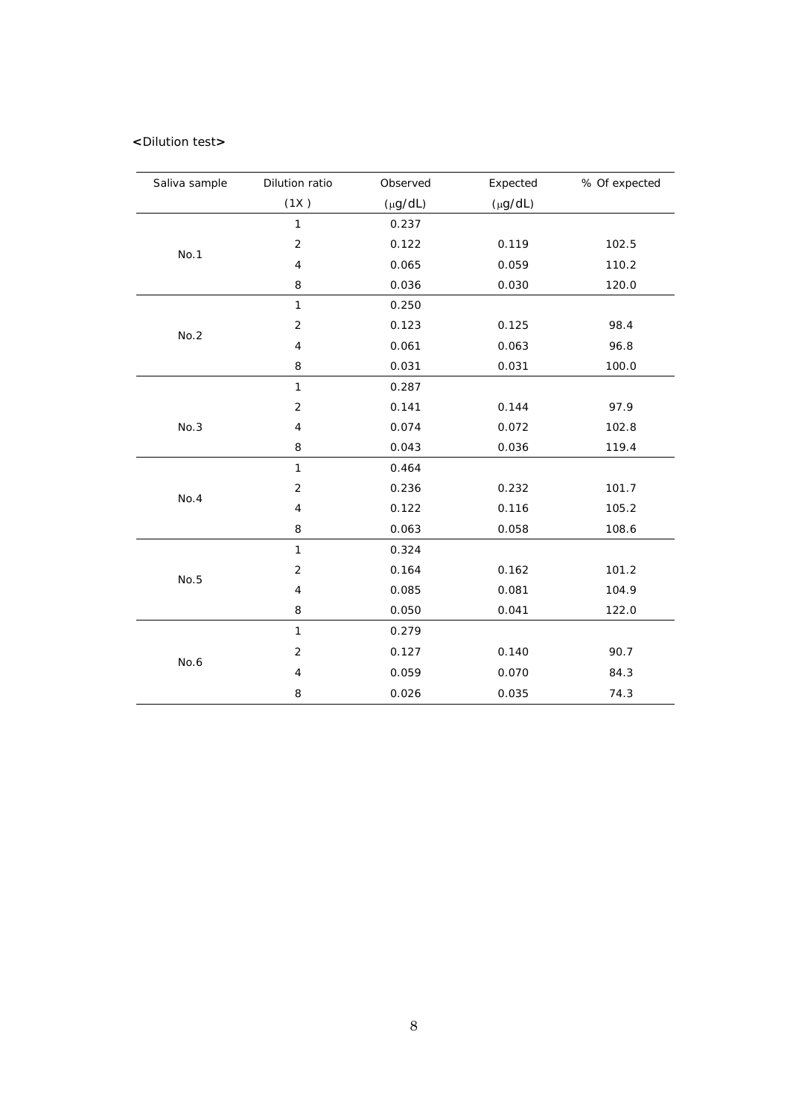## **<**Dilution test**>**

| Saliva sample | Dilution ratio | Observed     | Expected     | % Of expected |
|---------------|----------------|--------------|--------------|---------------|
|               | (1X)           | $(\mu g/dL)$ | $(\mu g/dL)$ |               |
|               | $\mathbf{1}$   | 0.237        |              |               |
|               | $\mathbf 2$    | 0.122        | 0.119        | 102.5         |
| No.1          | $\sqrt{4}$     | 0.065        | 0.059        | 110.2         |
|               | 8              | 0.036        | 0.030        | 120.0         |
|               | $\mathbf{1}$   | 0.250        |              |               |
|               | $\sqrt{2}$     | 0.123        | 0.125        | 98.4          |
| No.2          | $\overline{4}$ | 0.061        | 0.063        | 96.8          |
|               | 8              | 0.031        | 0.031        | 100.0         |
|               | $\mathbf{1}$   | 0.287        |              |               |
|               | $\sqrt{2}$     | 0.141        | 0.144        | 97.9          |
| No.3          | 4              | 0.074        | 0.072        | 102.8         |
|               | 8              | 0.043        | 0.036        | 119.4         |
|               | $\mathbf{1}$   | 0.464        |              |               |
| No.4          | $\overline{2}$ | 0.236        | 0.232        | 101.7         |
|               | 4              | 0.122        | 0.116        | 105.2         |
|               | 8              | 0.063        | 0.058        | 108.6         |
|               | $\mathbf{1}$   | 0.324        |              |               |
| No.5          | $\sqrt{2}$     | 0.164        | 0.162        | 101.2         |
|               | $\sqrt{4}$     | 0.085        | 0.081        | 104.9         |
|               | 8              | 0.050        | 0.041        | 122.0         |
|               | $\mathbf{1}$   | 0.279        |              |               |
|               | $\sqrt{2}$     | 0.127        | 0.140        | 90.7          |
| No.6          | $\overline{4}$ | 0.059        | 0.070        | 84.3          |
|               | 8              | 0.026        | 0.035        | 74.3          |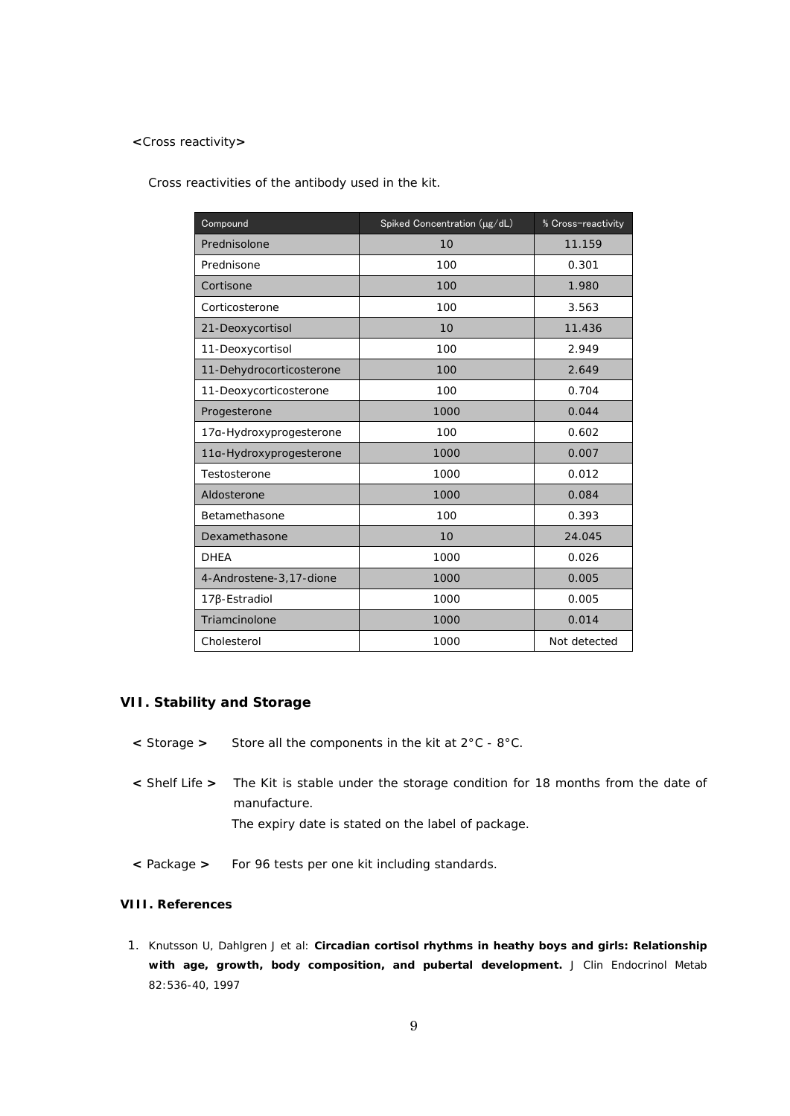### **<**Cross reactivity**>**

Cross reactivities of the antibody used in the kit.

| Compound                 | Spiked Concentration (µg/dL) | % Cross-reactivity |
|--------------------------|------------------------------|--------------------|
| Prednisolone             | 10                           | 11.159             |
| Prednisone               | 100                          | 0.301              |
| Cortisone                | 100                          | 1.980              |
| Corticosterone           | 100                          | 3.563              |
| 21-Deoxycortisol         | 10                           | 11.436             |
| 11-Deoxycortisol         | 100                          | 2.949              |
| 11-Dehydrocorticosterone | 100                          | 2.649              |
| 11-Deoxycorticosterone   | 100                          | 0.704              |
| Progesterone             | 1000                         | 0.044              |
| 17a-Hydroxyprogesterone  | 100                          | 0.602              |
| 11a-Hydroxyprogesterone  | 1000                         | 0.007              |
| Testosterone             | 1000                         | 0.012              |
| Aldosterone              | 1000                         | 0.084              |
| Betamethasone            | 100                          | 0.393              |
| Dexamethasone            | 10                           | 24.045             |
| <b>DHEA</b>              | 1000                         | 0.026              |
| 4-Androstene-3,17-dione  | 1000                         | 0.005              |
| 17β-Estradiol            | 1000                         | 0.005              |
| Triamcinolone            | 1000                         | 0.014              |
| Cholesterol              | 1000                         | Not detected       |

# **VII. Stability and Storage**

- **<** Storage **>** Store all the components in the kit at 2°C 8°C.
- **<** Shelf Life **>** The Kit is stable under the storage condition for 18 months from the date of manufacture. The expiry date is stated on the label of package.
- **<** Package **>** For 96 tests per one kit including standards.

# **VIII. References**

1. Knutsson U, Dahlgren J et al: **Circadian cortisol rhythms in heathy boys and girls: Relationship with age, growth, body composition, and pubertal development.** *J Clin Endocrinol Metab*  82:536-40, 1997